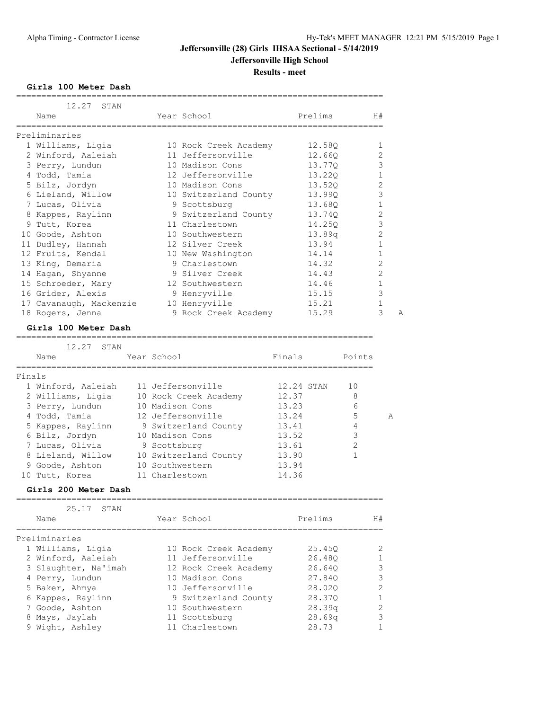**Results - meet**

**Girls 100 Meter Dash**

| 12.27 STAN              |                       |         |                |
|-------------------------|-----------------------|---------|----------------|
| Name                    | Year School           | Prelims | H#             |
|                         |                       |         |                |
| Preliminaries           |                       |         |                |
| 1 Williams, Ligia       | 10 Rock Creek Academy | 12.58Q  | 1              |
| 2 Winford, Aaleiah      | 11 Jeffersonville     | 12.660  | 2              |
| 3 Perry, Lundun         | 10 Madison Cons       | 13.770  | 3              |
| 4 Todd, Tamia           | 12 Jeffersonville     | 13.220  | $\mathbf{1}$   |
| 5 Bilz, Jordyn          | 10 Madison Cons       | 13.520  | $\overline{2}$ |
| 6 Lieland, Willow       | 10 Switzerland County | 13.99Q  | 3              |
| 7 Lucas, Olivia         | 9 Scottsburg          | 13.680  | $\mathbf 1$    |
| 8 Kappes, Raylinn       | 9 Switzerland County  | 13.740  | $\overline{c}$ |
| 9 Tutt, Korea           | 11 Charlestown        | 14.250  | $\mathcal{S}$  |
| 10 Goode, Ashton        | 10 Southwestern       | 13.89q  | $\overline{2}$ |
| 11 Dudley, Hannah       | 12 Silver Creek       | 13.94   | $\mathbf 1$    |
| 12 Fruits, Kendal       | 10 New Washington     | 14.14   | $\mathbf{1}$   |
| 13 King, Demaria        | 9 Charlestown         | 14.32   | $\overline{2}$ |
| 14 Hagan, Shyanne       | 9 Silver Creek        | 14.43   | $\overline{2}$ |
| 15 Schroeder, Mary      | 12 Southwestern       | 14.46   | $\mathbf{1}$   |
| 16 Grider, Alexis       | 9 Henryville          | 15.15   | 3              |
| 17 Cavanaugh, Mackenzie | 10 Henryville         | 15.21   | $\mathbf{1}$   |
| 18 Rogers, Jenna        | 9 Rock Creek Academy  | 15.29   | 3<br>A         |

#### **Girls 100 Meter Dash**

=======================================================================

|        | 12.27<br>STAN      |                       |            |                |   |
|--------|--------------------|-----------------------|------------|----------------|---|
|        | Name               | Year School           | Finals     | Points         |   |
|        |                    |                       |            |                |   |
| Finals |                    |                       |            |                |   |
|        | 1 Winford, Aaleiah | 11 Jeffersonville     | 12.24 STAN | 10             |   |
|        | 2 Williams, Ligia  | 10 Rock Creek Academy | 12.37      | 8              |   |
|        | 3 Perry, Lundun    | 10 Madison Cons       | 13.23      | 6              |   |
|        | 4 Todd, Tamia      | 12 Jeffersonville     | 13.24      | 5              | A |
|        | 5 Kappes, Raylinn  | 9 Switzerland County  | 13.41      | 4              |   |
|        | 6 Bilz, Jordyn     | 10 Madison Cons       | 13.52      | 3              |   |
|        | 7 Lucas, Olivia    | 9 Scottsburg          | 13.61      | $\mathfrak{D}$ |   |
|        | 8 Lieland, Willow  | 10 Switzerland County | 13.90      |                |   |
|        | 9 Goode, Ashton    | 10 Southwestern       | 13.94      |                |   |
|        | 10 Tutt, Korea     | 11 Charlestown        | 14.36      |                |   |

#### **Girls 200 Meter Dash**

| 25.17 STAN<br>Name   | Year School           | Prelims            | H#            |
|----------------------|-----------------------|--------------------|---------------|
| Preliminaries        |                       |                    |               |
| 1 Williams, Ligia    | 10 Rock Creek Academy | 25.450             | $\mathcal{L}$ |
| 2 Winford, Aaleiah   | 11 Jeffersonville     | 26.480             |               |
| 3 Slaughter, Na'imah | 12 Rock Creek Academy | 26.640             | 3             |
| 4 Perry, Lundun      | 10 Madison Cons       | 27.840             | 3             |
| 5 Baker, Ahmya       | 10 Jeffersonville     | 28.020             | $\mathcal{L}$ |
| 6 Kappes, Raylinn    | 9 Switzerland County  | 28.370             |               |
| 7 Goode, Ashton      | 10 Southwestern       | 28.39 <sub>q</sub> | 2             |
| 8 Mays, Jaylah       | 11 Scottsburg         | 28.69 <sub>q</sub> | 3             |
| 9 Wight, Ashley      | 11 Charlestown        | 28.73              |               |
|                      |                       |                    |               |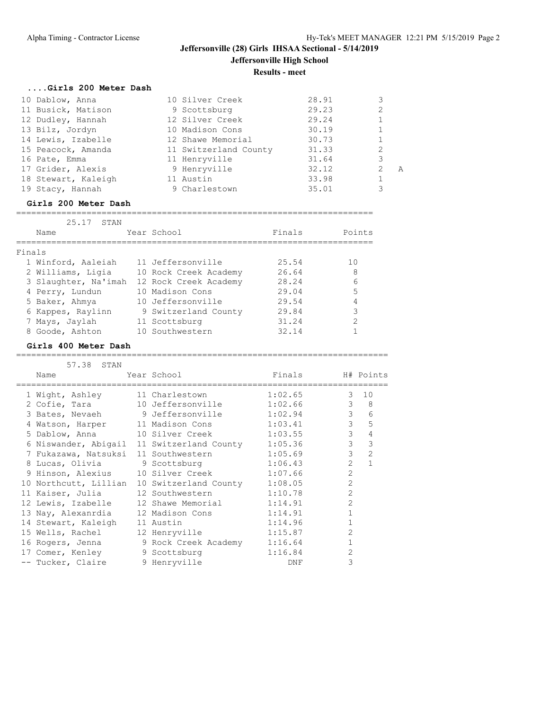| Girls 200 Meter Dash |                       |       |               |   |
|----------------------|-----------------------|-------|---------------|---|
| 10 Dablow, Anna      | 10 Silver Creek       | 28.91 | 3             |   |
| 11 Busick, Matison   | 9 Scottsburg          | 29.23 | 2             |   |
| 12 Dudley, Hannah    | 12 Silver Creek       | 29.24 |               |   |
| 13 Bilz, Jordyn      | 10 Madison Cons       | 30.19 |               |   |
| 14 Lewis, Izabelle   | 12 Shawe Memorial     | 30.73 |               |   |
| 15 Peacock, Amanda   | 11 Switzerland County | 31.33 | 2             |   |
| 16 Pate, Emma        | 11 Henryville         | 31.64 | 3             |   |
| 17 Grider, Alexis    | 9 Henryville          | 32.12 | $\mathcal{L}$ | A |
| 18 Stewart, Kaleigh  | 11 Austin             | 33.98 |               |   |
| 19 Stacy, Hannah     | 9 Charlestown         | 35.01 | 3             |   |

=======================================================================

#### **Girls 200 Meter Dash**

|        | 25.17<br>STAN        |                       |        |        |
|--------|----------------------|-----------------------|--------|--------|
|        | Name                 | Year School           | Finals | Points |
| Finals |                      |                       |        |        |
|        | 1 Winford, Aaleiah   | 11 Jeffersonville     | 25.54  | 10     |
|        | 2 Williams, Ligia    | 10 Rock Creek Academy | 26.64  | 8      |
|        | 3 Slaughter, Na'imah | 12 Rock Creek Academy | 28.24  | 6      |
|        | 4 Perry, Lundun      | 10 Madison Cons       | 29.04  | 5      |
|        | 5 Baker, Ahmya       | 10 Jeffersonville     | 29.54  | 4      |
|        | 6 Kappes, Raylinn    | 9 Switzerland County  | 29.84  | 3      |
|        | 7 Mays, Jaylah       | 11 Scottsburg         | 31.24  | 2      |
|        | 8 Goode, Ashton      | 10 Southwestern       | 32.14  |        |

==========================================================================

#### **Girls 400 Meter Dash**

### 57.38 STAN Name  $Year School$  Finals  $H# Points$ ========================================================================== 1 Wight, Ashley 11 Charlestown 1:02.65 3 10 2 Cofie, Tara 10 Jeffersonville 1:02.66 3 8 3 Bates, Nevaeh 9 Jeffersonville 1:02.94 3 6 4 Watson, Harper 11 Madison Cons 1:03.41 3 5 5 Dablow, Anna 10 Silver Creek 1:03.55 3 4 6 Niswander, Abigail 11 Switzerland County 1:05.36 3 3 7 Fukazawa, Natsuksi 11 Southwestern 1:05.69 3 2 8 Lucas, Olivia 9 Scottsburg 1:06.43 2 1 9 Hinson, Alexius 10 Silver Creek 1:07.66 2 10 Northcutt, Lillian 10 Switzerland County 1:08.05 2 11 Kaiser, Julia 12 Southwestern 1:10.78 2 12 Lewis, Izabelle 12 Shawe Memorial 1:14.91 2 13 Nay, Alexanrdia 12 Madison Cons 1:14.91 1 14 Stewart, Kaleigh 11 Austin 1:14.96 1 15 Wells, Rachel 12 Henryville 1:15.87 2 16 Rogers, Jenna 9 Rock Creek Academy 1:16.64 1 17 Comer, Kenley 9 Scottsburg 1:16.84 2 -- Tucker, Claire 9 Henryville 19 DNF 3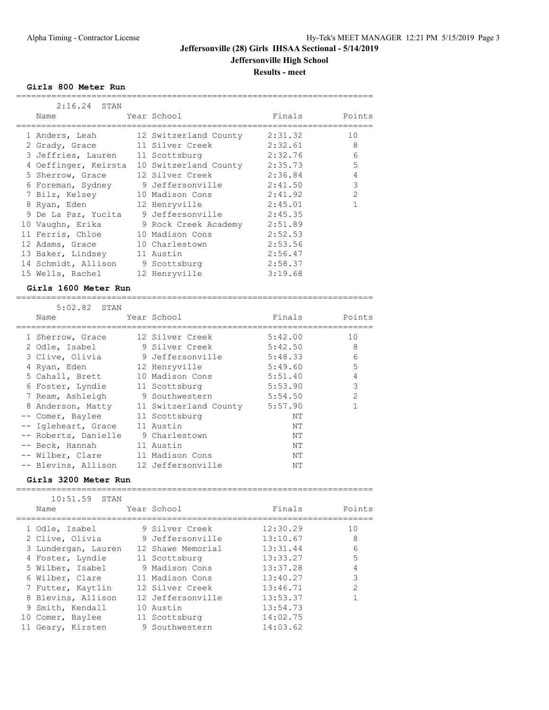**Girls 800 Meter Run**

| $2:16.24$ STAN                             |                       |         |                |
|--------------------------------------------|-----------------------|---------|----------------|
| Name                                       | Year School           | Finals  | Points         |
| 1 Anders, Leah                             | 12 Switzerland County | 2:31.32 | 10             |
| 2 Grady, Grace                             | 11 Silver Creek       | 2:32.61 | 8              |
| 3 Jeffries, Lauren                         | 11 Scottsburg         | 2:32.76 | 6              |
| 4 Oeffinger, Keirsta 10 Switzerland County |                       | 2:35.73 | 5              |
| 5 Sherrow, Grace                           | 12 Silver Creek       | 2:36.84 | 4              |
| 6 Foreman, Sydney                          | 9 Jeffersonville      | 2:41.50 | 3              |
| 7 Bilz, Kelsey                             | 10 Madison Cons       | 2:41.92 | $\overline{2}$ |
| 8 Ryan, Eden                               | 12 Henryville         | 2:45.01 |                |
| 9 De La Paz, Yucita                        | 9 Jeffersonville      | 2:45.35 |                |
| 10 Vaughn, Erika                           | 9 Rock Creek Academy  | 2:51.89 |                |
| 11 Ferris, Chloe                           | 10 Madison Cons       | 2:52.53 |                |
| 12 Adams, Grace                            | 10 Charlestown        | 2:53.56 |                |
| 13 Baker, Lindsey                          | 11 Austin             | 2:56.47 |                |
| 14 Schmidt, Allison                        | 9 Scottsburg          | 2:58.37 |                |
| 15 Wells, Rachel                           | 12 Henryville         | 3:19.68 |                |

#### **Girls 1600 Meter Run**

| $5:02.82$ STAN                        |                                         |         |                |
|---------------------------------------|-----------------------------------------|---------|----------------|
| Name                                  | Year School                             | Finals  | Points         |
| 1 Sherrow, Grace                      | 12 Silver Creek                         | 5:42.00 | 10             |
| 2 Odle, Isabel                        | 9 Silver Creek                          | 5:42.50 | 8              |
| 3 Clive, Olivia                       | 9 Jeffersonville                        | 5:48.33 | 6              |
| 4 Ryan, Eden                          | 12 Henryville                           | 5:49.60 | 5              |
| 5 Cahall, Brett 10 Madison Cons       |                                         | 5:51.40 | $\overline{4}$ |
| 6 Foster, Lyndie 11 Scottsburg        |                                         | 5:53.90 | 3              |
| 7 Ream, Ashleigh 9 Southwestern       |                                         | 5:54.50 | $\mathfrak{D}$ |
|                                       | 8 Anderson, Matty 11 Switzerland County | 5:57.90 |                |
| -- Comer, Baylee 11 Scottsburg        |                                         | NΤ      |                |
| -- Igleheart, Grace                   | 11 Austin                               | NΤ      |                |
| -- Roberts, Danielle                  | 9 Charlestown                           | NΤ      |                |
| -- Beck, Hannah                       | 11 Austin                               | NΤ      |                |
| -- Wilber, Clare 11 Madison Cons      |                                         | NΤ      |                |
| -- Blevins, Allison 12 Jeffersonville |                                         | NΤ      |                |

#### **Girls 3200 Meter Run**

| $10:51.59$ STAN     |                   |          |                |
|---------------------|-------------------|----------|----------------|
| Name                | Year School       | Finals   | Points         |
|                     |                   |          |                |
| 1 Odle, Isabel      | 9 Silver Creek    | 12:30.29 | 10             |
| 2 Clive, Olivia     | 9 Jeffersonville  | 13:10.67 | 8              |
| 3 Lundergan, Lauren | 12 Shawe Memorial | 13:31.44 | 6              |
| 4 Foster, Lyndie    | 11 Scottsburg     | 13:33.27 | 5              |
| 5 Wilber, Isabel    | 9 Madison Cons    | 13:37.28 | 4              |
| 6 Wilber, Clare     | 11 Madison Cons   | 13:40.27 | 3              |
| 7 Futter, Kaytlin   | 12 Silver Creek   | 13:46.71 | $\mathfrak{D}$ |
| 8 Blevins, Allison  | 12 Jeffersonville | 13:53.37 |                |
| 9 Smith, Kendall    | 10 Austin         | 13:54.73 |                |
| 10 Comer, Baylee    | 11 Scottsburg     | 14:02.75 |                |
| 11 Geary, Kirsten   | 9 Southwestern    | 14:03.62 |                |

=======================================================================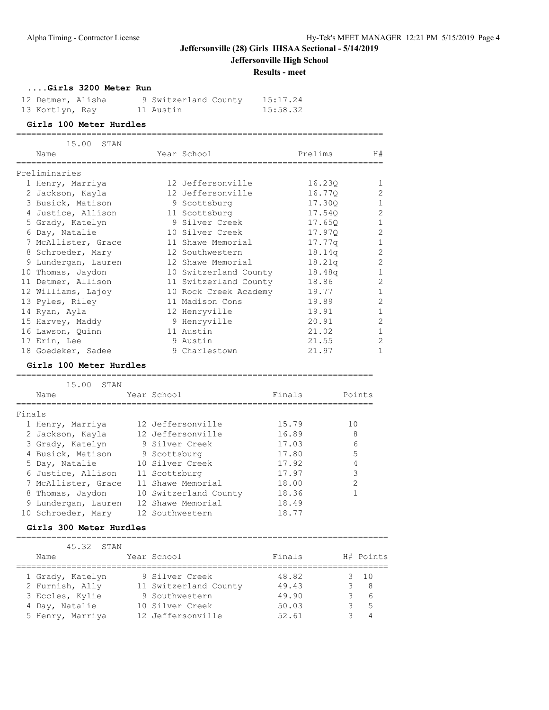### **Jeffersonville (28) Girls IHSAA Sectional - 5/14/2019**

**Jeffersonville High School**

**Results - meet**

**....Girls 3200 Meter Run**

| 12 Detmer, Alisha |  | 9 Switzerland County | 15:17.24 |
|-------------------|--|----------------------|----------|
| 13 Kortlyn, Ray   |  | 11 Austin            | 15:58.32 |

### **Girls 100 Meter Hurdles**

|        | 15.00<br>STAN           |                 |                       |        |         |                |
|--------|-------------------------|-----------------|-----------------------|--------|---------|----------------|
|        | Name                    |                 | Year School           |        | Prelims | H#             |
|        | Preliminaries           |                 |                       |        |         |                |
|        | 1 Henry, Marriya        |                 | 12 Jeffersonville     |        | 16.230  | 1              |
|        | 2 Jackson, Kayla        |                 | 12 Jeffersonville     |        | 16.77Q  | $\overline{c}$ |
|        | 3 Busick, Matison       |                 | 9 Scottsburg          |        | 17.30Q  | $\mathbf 1$    |
|        | 4 Justice, Allison      |                 | 11 Scottsburg         |        | 17.540  | $\overline{2}$ |
|        | 5 Grady, Katelyn        |                 | 9 Silver Creek        |        | 17.650  | $\mathbf{1}$   |
|        | 6 Day, Natalie          |                 | 10 Silver Creek       |        | 17.97Q  | $\overline{2}$ |
|        | 7 McAllister, Grace     |                 | 11 Shawe Memorial     |        | 17.77q  | $\mathbf{1}$   |
|        | 8 Schroeder, Mary       |                 | 12 Southwestern       |        | 18.14q  | $\mathbf{2}$   |
|        | 9 Lundergan, Lauren     |                 | 12 Shawe Memorial     |        | 18.21q  | $\overline{2}$ |
|        | 10 Thomas, Jaydon       |                 | 10 Switzerland County |        | 18.48q  | $\mathbf{1}$   |
|        | 11 Detmer, Allison      |                 | 11 Switzerland County |        | 18.86   | $\overline{c}$ |
|        | 12 Williams, Lajoy      |                 | 10 Rock Creek Academy |        | 19.77   | $\mathbf{1}$   |
|        | 13 Pyles, Riley         |                 | 11 Madison Cons       |        | 19.89   | $\overline{2}$ |
|        | 14 Ryan, Ayla           |                 | 12 Henryville         |        | 19.91   | $\mathbf 1$    |
|        | 15 Harvey, Maddy        |                 | 9 Henryville          |        | 20.91   | $\overline{c}$ |
|        | 16 Lawson, Quinn        |                 | 11 Austin             |        | 21.02   | $\mathbf{1}$   |
|        | 17 Erin, Lee            |                 | 9 Austin              |        | 21.55   | $\overline{2}$ |
|        | 18 Goedeker, Sadee      |                 | 9 Charlestown         |        | 21.97   | $\mathbf{1}$   |
|        | Girls 100 Meter Hurdles |                 |                       |        |         |                |
|        |                         |                 |                       |        |         |                |
|        | 15.00<br>STAN           |                 |                       |        |         |                |
|        | Name                    | Year School     |                       | Finals |         | Points         |
| Finals |                         |                 |                       |        |         |                |
|        | 1 Henry, Marriya        |                 | 12 Jeffersonville     | 15.79  |         | 10             |
|        | 2 Jackson, Kayla        |                 | 12 Jeffersonville     | 16.89  |         | 8              |
|        | 3 Grady, Katelyn        | 9 Silver Creek  |                       | 17.03  |         | 6              |
|        | 4 Busick, Matison       | 9 Scottsburg    |                       | 17.80  |         | 5              |
|        | 5 Day, Natalie          | 10 Silver Creek |                       | 17.92  |         | 4              |
|        | 6 Justice, Allison      | 11 Scottsburg   |                       | 17.97  |         | 3              |
|        | 7 McAllister, Grace     |                 | 11 Shawe Memorial     | 18.00  |         | $\overline{2}$ |
|        | 8 Thomas, Jaydon        |                 | 10 Switzerland County | 18.36  |         | $\mathbf{1}$   |
|        | 9 Lundergan, Lauren     |                 | 12 Shawe Memorial     | 18.49  |         |                |
|        | 10 Schroeder, Mary      | 12 Southwestern |                       | 18.77  |         |                |

### **Girls 300 Meter Hurdles**

| 45.32 STAN       |                       |        |              |
|------------------|-----------------------|--------|--------------|
| Name             | Year School           | Finals | H# Points    |
|                  |                       |        |              |
| 1 Grady, Katelyn | 9 Silver Creek        | 48.82  | $3 \quad 10$ |
| 2 Furnish, Ally  | 11 Switzerland County | 49.43  | - 8          |
| 3 Eccles, Kylie  | 9 Southwestern        | 49.90  | - 6          |
| 4 Day, Natalie   | 10 Silver Creek       | 50.03  | $-5$         |
| 5 Henry, Marriya | 12 Jeffersonville     | 52.61  | Δ            |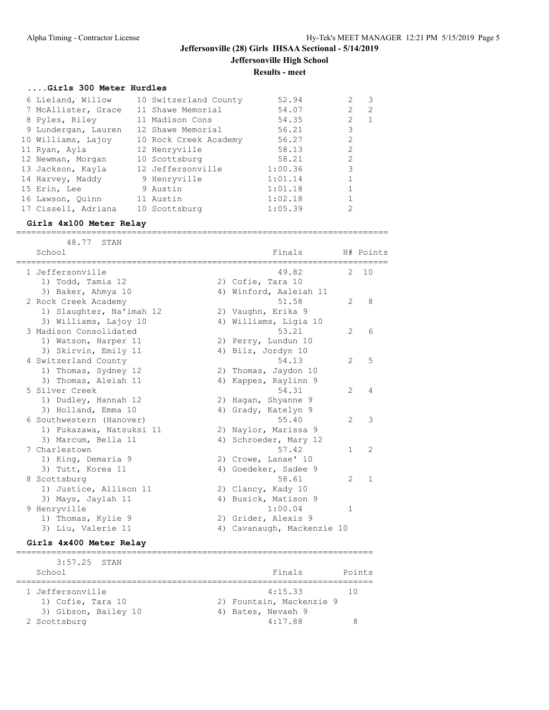#### **....Girls 300 Meter Hurdles**

| 6 Lieland, Willow   | 10 Switzerland County | 52.94   | 2              | 3 |
|---------------------|-----------------------|---------|----------------|---|
| 7 McAllister, Grace | 11 Shawe Memorial     | 54.07   | $\overline{2}$ | 2 |
| 8 Pyles, Riley      | 11 Madison Cons       | 54.35   | $\mathfrak{D}$ |   |
| 9 Lundergan, Lauren | 12 Shawe Memorial     | 56.21   | 3              |   |
| 10 Williams, Lajoy  | 10 Rock Creek Academy | 56.27   | $\mathfrak{D}$ |   |
| 11 Ryan, Ayla       | 12 Henryville         | 58.13   | $\mathfrak{D}$ |   |
| 12 Newman, Morgan   | 10 Scottsburg         | 58.21   | $\mathfrak{D}$ |   |
| 13 Jackson, Kayla   | 12 Jeffersonville     | 1:00.36 | 3              |   |
| 14 Harvey, Maddy    | 9 Henryville          | 1:01.14 |                |   |
| 15 Erin, Lee        | 9 Austin              | 1:01.18 |                |   |
| 16 Lawson, Quinn    | 11 Austin             | 1:02.18 |                |   |
| 17 Cissell, Adriana | 10 Scottsburg         | 1:05.39 | 2              |   |

#### **Girls 4x100 Meter Relay**

==========================================================================

| 48.77 STAN               |                            |                |                |
|--------------------------|----------------------------|----------------|----------------|
| School                   | Finals                     |                | H# Points      |
| 1 Jeffersonville         | 49.82                      |                | 2, 10          |
| 1) Todd, Tamia 12        | 2) Cofie, Tara 10          |                |                |
| 3) Baker, Ahmya 10       | 4) Winford, Aaleiah 11     |                |                |
| 2 Rock Creek Academy     | 51.58                      | $\mathfrak{L}$ | 8              |
| 1) Slaughter, Na'imah 12 | 2) Vaughn, Erika 9         |                |                |
| 3) Williams, Lajoy 10    | 4) Williams, Ligia 10      |                |                |
| 3 Madison Consolidated   | 53.21                      | $\mathcal{L}$  | 6              |
| 1) Watson, Harper 11     | 2) Perry, Lundun 10        |                |                |
| 3) Skirvin, Emily 11     | 4) Bilz, Jordyn 10         |                |                |
| 4 Switzerland County     | 54.13                      | $\mathfrak{L}$ | 5              |
| 1) Thomas, Sydney 12     | 2) Thomas, Jaydon 10       |                |                |
| 3) Thomas, Aleiah 11     | 4) Kappes, Raylinn 9       |                |                |
| 5 Silver Creek           | 54.31                      | $\overline{2}$ | 4              |
| 1) Dudley, Hannah 12     | 2) Hagan, Shyanne 9        |                |                |
| 3) Holland, Emma 10      | 4) Grady, Katelyn 9        |                |                |
| 6 Southwestern (Hanover) | 55.40                      | $\overline{2}$ | 3              |
| 1) Fukazawa, Natsuksi 11 | 2) Naylor, Marissa 9       |                |                |
| 3) Marcum, Bella 11      | 4) Schroeder, Mary 12      |                |                |
| 7 Charlestown            | 57.42                      | $\mathbf{1}$   | $\overline{2}$ |
| 1) King, Demaria 9       | 2) Crowe, Lanae' 10        |                |                |
| 3) Tutt, Korea 11        | 4) Goedeker, Sadee 9       |                |                |
| 8 Scottsburg             | 58.61                      | $\mathcal{L}$  | $\mathbf{1}$   |
| 1) Justice, Allison 11   | 2) Clancy, Kady 10         |                |                |
| 3) Mays, Jaylah 11       | 4) Busick, Matison 9       |                |                |
| 9 Henryville             | 1:00.04                    | 1              |                |
| 1) Thomas, Kylie 9       | 2) Grider, Alexis 9        |                |                |
| 3) Liu, Valerie 11       | 4) Cavanaugh, Mackenzie 10 |                |                |
|                          |                            |                |                |

#### **Girls 4x400 Meter Relay**

======================================================================= 3:57.25 STAN School **Finals** Points ======================================================================= 1 Jeffersonville 1.15.33 and 10 1) Cofie, Tara 10 2) Fountain, Mackenzie 9 3) Gibson, Bailey 10 (4) Bates, Nevaeh 9 2 Scottsburg 2 Soutsburg 2 Scottsburg 2 Scottsburg 2 Scottsburg 2 Scottsburg 2 Scottsburg 2 Scottsburg 2 Scottsburg 2 Scottsburg 2 Scottsburg 2 Scottsburg 2 Scottsburg 2 Scottsburg 2 Scottsburg 2 Scottsburg 2 Scottsburg 2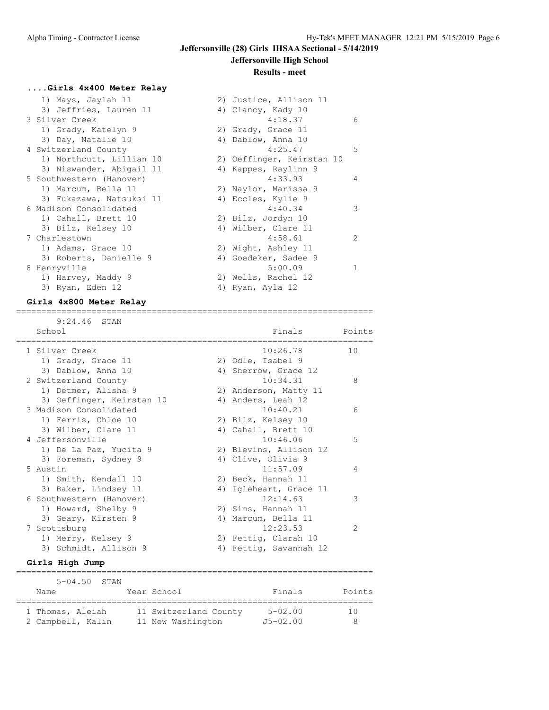# **Jeffersonville (28) Girls IHSAA Sectional - 5/14/2019**

### **Jeffersonville High School**

#### **Results - meet**

#### **....Girls 4x400 Meter Relay**

| 1) Mays, Jaylah 11       | 2) Justice, Allison 11    |               |
|--------------------------|---------------------------|---------------|
| 3) Jeffries, Lauren 11   | 4) Clancy, Kady 10        |               |
| 3 Silver Creek           | 4:18.37                   | 6             |
| 1) Grady, Katelyn 9      | 2) Grady, Grace 11        |               |
| 3) Day, Natalie 10       | 4) Dablow, Anna 10        |               |
| 4 Switzerland County     | 4:25.47                   | 5             |
| 1) Northcutt, Lillian 10 | 2) Oeffinger, Keirstan 10 |               |
| 3) Niswander, Abigail 11 | 4) Kappes, Raylinn 9      |               |
| 5 Southwestern (Hanover) | 4:33.93                   | 4             |
| 1) Marcum, Bella 11      | 2) Naylor, Marissa 9      |               |
| 3) Fukazawa, Natsuksi 11 | 4) Eccles, Kylie 9        |               |
| 6 Madison Consolidated   | 4:40.34                   | 3             |
| 1) Cahall, Brett 10      | 2) Bilz, Jordyn 10        |               |
| 3) Bilz, Kelsey 10       | 4) Wilber, Clare 11       |               |
| 7 Charlestown            | 4:58.61                   | $\mathcal{L}$ |
| 1) Adams, Grace 10       | 2) Wight, Ashley 11       |               |
| 3) Roberts, Danielle 9   | 4) Goedeker, Sadee 9      |               |
| 8 Henryville             | 5:00.09                   |               |
| 1) Harvey, Maddy 9       | 2) Wells, Rachel 12       |               |
| 3) Ryan, Eden 12         | 4) Ryan, Ayla 12          |               |

=======================================================================

#### **Girls 4x800 Meter Relay**

 9:24.46 STAN School **Finals** Points Points ======================================================================= 1 Silver Creek 10:26.78 10 1) Grady, Grace 11 2) Odle, Isabel 9 3) Dablow, Anna 10 4) Sherrow, Grace 12 2 Switzerland County 10:34.31 8 1) Detmer, Alisha 9 2) Anderson, Matty 11 3) Oeffinger, Keirstan 10 (4) Anders, Leah 12 3 Madison Consolidated 10:40.21 6 1) Ferris, Chloe 10 2) Bilz, Kelsey 10 3) Wilber, Clare 11 4) Cahall, Brett 10 4 Jeffersonville 10:46.06 5 1) De La Paz, Yucita 9 2) Blevins, Allison 12 3) Foreman, Sydney 9 (4) Clive, Olivia 9 5 Austin 11:57.09 4 1) Smith, Kendall 10 2) Beck, Hannah 11 3) Baker, Lindsey 11 4) Igleheart, Grace 11 6 Southwestern (Hanover) 12:14.63 3 1) Howard, Shelby 9 2) Sims, Hannah 11 3) Geary, Kirsten 9 19 12 12 4) Marcum, Bella 7 Scottsburg 12:23.53 2 1) Merry, Kelsey 9 2) Fettig, Clarah 10 3) Schmidt, Allison 9 4) Fettig, Savannah 12 **Girls High Jump** =======================================================================

 5-04.50 STAN Name Year School Finals Points ======================================================================= 1 Thomas, Aleiah 11 Switzerland County 5-02.00 10 2 Campbell, Kalin 11 New Washington J5-02.00 8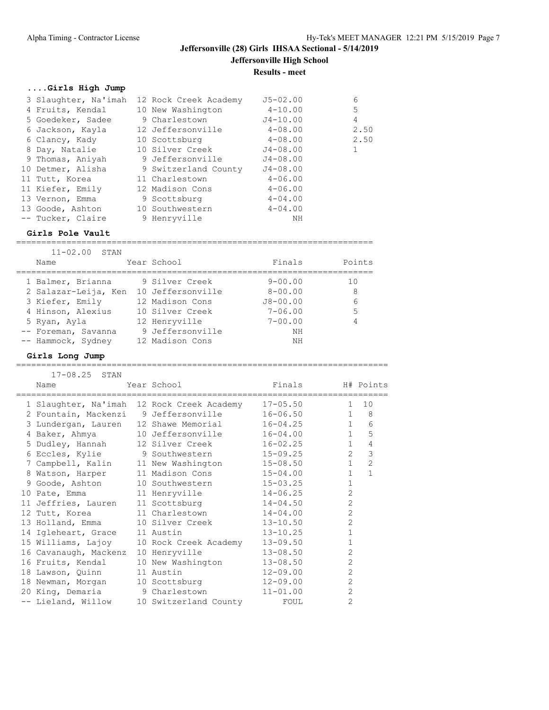### **....Girls High Jump**

| 3 Slaughter, Na'imah |  | 12 Rock Creek Academy | $J5 - 02.00$ | 6    |
|----------------------|--|-----------------------|--------------|------|
| 4 Fruits, Kendal     |  | 10 New Washington     | $4 - 10.00$  | 5    |
| 5 Goedeker, Sadee    |  | 9 Charlestown         | $J4 - 10.00$ | 4    |
| 6 Jackson, Kayla     |  | 12 Jeffersonville     | $4 - 08.00$  | 2.50 |
| 6 Clancy, Kady       |  | 10 Scottsburg         | $4 - 08.00$  | 2.50 |
| 8 Day, Natalie       |  | 10 Silver Creek       | $J4 - 08.00$ |      |
| 9 Thomas, Aniyah     |  | 9 Jeffersonville      | $J4 - 08.00$ |      |
| 10 Detmer, Alisha    |  | 9 Switzerland County  | $J4 - 08.00$ |      |
| 11 Tutt, Korea       |  | 11 Charlestown        | $4 - 06.00$  |      |
| 11 Kiefer, Emily     |  | 12 Madison Cons       | $4 - 06.00$  |      |
| 13 Vernon, Emma      |  | 9 Scottsburg          | $4 - 04.00$  |      |
| 13 Goode, Ashton     |  | 10 Southwestern       | $4 - 04.00$  |      |
| -- Tucker, Claire    |  | 9 Henryville          | ΝH           |      |

#### **Girls Pole Vault**

| $11 - 02.00$ STAN    |                   |              |        |
|----------------------|-------------------|--------------|--------|
| Name                 | Year School       | Finals       | Points |
|                      |                   |              |        |
| 1 Balmer, Brianna    | 9 Silver Creek    | $9 - 00.00$  | 1 O    |
| 2 Salazar-Leija, Ken | 10 Jeffersonville | $8 - 00.00$  | 8      |
| 3 Kiefer, Emily      | 12 Madison Cons   | $J8 - 00.00$ | 6      |
| 4 Hinson, Alexius    | 10 Silver Creek   | $7 - 06.00$  | 5      |
| 5 Ryan, Ayla         | 12 Henryville     | $7 - 00.00$  | 4      |
| -- Foreman, Savanna  | 9 Jeffersonville  | ΝH           |        |
| -- Hammock, Sydney   | 12 Madison Cons   | NΗ           |        |

=======================================================================

#### **Girls Long Jump**

==========================================================================

| 17-08.25 STAN                  |                                                     |                  |                |                |
|--------------------------------|-----------------------------------------------------|------------------|----------------|----------------|
| Name                           | Year School                                         | Finals H# Points |                |                |
|                                | 1 Slaughter, Na'imah 12 Rock Creek Academy 17-05.50 |                  | $1 \quad$      | 10             |
|                                | 2 Fountain, Mackenzi 9 Jeffersonville               | 16-06.50         | $\mathbf{1}$   | 8              |
|                                | 3 Lundergan, Lauren 12 Shawe Memorial               | $16 - 04.25$     | 1              | 6              |
| 4 Baker, Ahmya                 | 10 Jeffersonville                                   | $16 - 04.00$     | $\mathbf{1}$   | 5              |
|                                | 5 Dudley, Hannah 12 Silver Creek                    | 16-02.25         | $\mathbf{1}$   | $\overline{4}$ |
|                                | 6 Eccles, Kylie 9 Southwestern                      | 15-09.25         | $\overline{2}$ | $\mathfrak{Z}$ |
|                                | 7 Campbell, Kalin 11 New Washington                 | $15 - 08.50$     | $\mathbf{1}$   | $\overline{2}$ |
|                                | 8 Watson, Harper 11 Madison Cons                    | $15 - 04.00$     | $\mathbf{1}$   | $\mathbf{1}$   |
| 9 Goode, Ashton                | 10 Southwestern                                     | $15 - 03.25$     | $\mathbf{1}$   |                |
|                                | 10 Pate, Emma 11 Henryville                         | $14 - 06.25$     | $\overline{2}$ |                |
| 11 Jeffries, Lauren            | 11 Scottsburg 14-04.50                              |                  | $\overline{2}$ |                |
|                                | 12 Tutt, Korea 11 Charlestown                       | $14 - 04.00$     | $\overline{2}$ |                |
|                                | 13 Holland, Emma 10 Silver Creek 13-10.50           |                  | $\overline{c}$ |                |
| 14 Igleheart, Grace 11 Austin  |                                                     | $13 - 10.25$     | $\mathbf{1}$   |                |
|                                | 15 Williams, Lajoy 10 Rock Creek Academy            | $13 - 09.50$     | $\mathbf{1}$   |                |
| 16 Cavanaugh, Mackenz          | 10 Henryville                                       | $13 - 08.50$     | $\overline{2}$ |                |
|                                | 16 Fruits, Kendal 10 New Washington                 | $13 - 08.50$     | $\overline{2}$ |                |
| 18 Lawson, Quinn               | 11 Austin                                           | $12 - 09.00$     | $\overline{2}$ |                |
|                                | 18 Newman, Morgan 10 Scottsburg 12-09.00            |                  | $\overline{2}$ |                |
| 20 King, Demaria 9 Charlestown |                                                     | $11 - 01.00$     | $\overline{2}$ |                |
| -- Lieland, Willow             | 10 Switzerland County                               | FOUL             | $\overline{2}$ |                |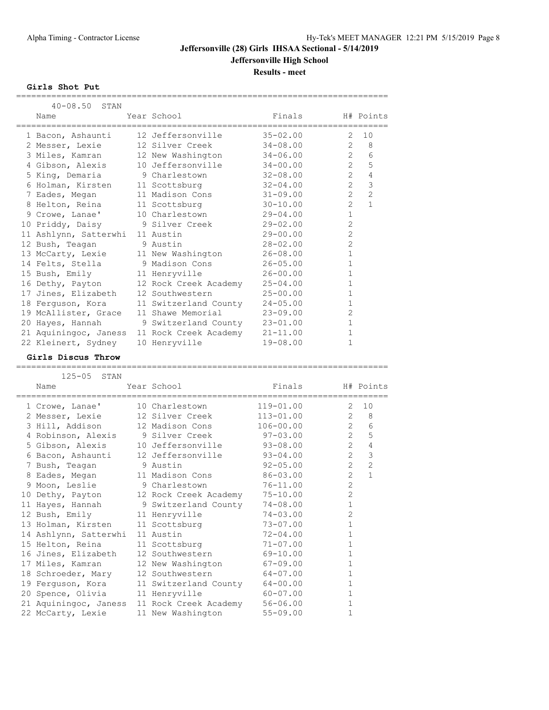**Results - meet**

**Girls Shot Put**

| 40-08.50 STAN                     |                                  |                  |                |                |
|-----------------------------------|----------------------------------|------------------|----------------|----------------|
| Name                              | Year School                      | Finals H# Points |                |                |
| 1 Bacon, Ashaunti                 | 12 Jeffersonville                | $35 - 02.00$     | 2              | 10             |
| 2 Messer, Lexie                   | 12 Silver Creek                  | 34-08.00         | $\overline{2}$ | - 8            |
| 3 Miles, Kamran 12 New Washington |                                  | $34 - 06.00$     | $\overline{2}$ | 6              |
| 4 Gibson, Alexis                  | 10 Jeffersonville                | $34 - 00.00$     | $\overline{2}$ | 5              |
| 5 King, Demaria                   | 9 Charlestown                    | $32 - 08.00$     | $\overline{2}$ | $\overline{4}$ |
| 6 Holman, Kirsten 11 Scottsburg   |                                  | $32 - 04.00$     | $\overline{2}$ | 3              |
| 7 Eades, Megan                    | 11 Madison Cons                  | $31 - 09.00$     | $\overline{2}$ | $\overline{2}$ |
| 8 Helton, Reina                   | 11 Scottsburg                    | $30 - 10.00$     | $\overline{2}$ | $\mathbf{1}$   |
| 9 Crowe, Lanae'                   | 10 Charlestown                   | $29 - 04.00$     | $\mathbf{1}$   |                |
| 10 Priddy, Daisy 9 Silver Creek   |                                  | $29 - 02.00$     | $\overline{2}$ |                |
| 11 Ashlynn, Satterwhi             | 11 Austin                        | $29 - 00.00$     | $\overline{2}$ |                |
| 12 Bush, Teagan                   | 9 Austin                         | $28 - 02.00$     | $\overline{2}$ |                |
| 13 McCarty, Lexie                 | 11 New Washington                | $26 - 08.00$     | $\mathbf{1}$   |                |
|                                   | 14 Felts, Stella 19 Madison Cons | $26 - 05.00$     | $\mathbf{1}$   |                |
| 15 Bush, Emily                    | 11 Henryville                    | $26 - 00.00$     | $\mathbf{1}$   |                |
| 16 Dethy, Payton                  | 12 Rock Creek Academy            | $25 - 04.00$     | $\mathbf{1}$   |                |
| 17 Jines, Elizabeth               | 12 Southwestern                  | $25 - 00.00$     | $\mathbf{1}$   |                |
| 18 Ferquson, Kora                 | 11 Switzerland County            | $24 - 05.00$     | $\mathbf{1}$   |                |
| 19 McAllister, Grace              | 11 Shawe Memorial                | $23 - 09.00$     | $\overline{2}$ |                |
| 20 Hayes, Hannah                  | 9 Switzerland County             | $23 - 01.00$     | $\mathbf{1}$   |                |
| 21 Aquiningoc, Janess             | 11 Rock Creek Academy            | $21 - 11.00$     | $\mathbf{1}$   |                |
| 22 Kleinert, Sydney               | 10 Henryville                    | $19 - 08.00$     | 1              |                |

==========================================================================

#### **Girls Discus Throw**

==========================================================================

| 125-05 STAN                     |                                            |               |                     |                |
|---------------------------------|--------------------------------------------|---------------|---------------------|----------------|
| Name<br>_______________________ | Year School                                | Finals        | ,,,,,,,,,,,,,,,,,,, | H# Points      |
| 1 Crowe, Lanae'                 | 10 Charlestown                             | $119 - 01.00$ | 2                   | 10             |
| 2 Messer, Lexie                 | 12 Silver Creek                            | $113 - 01.00$ | $\overline{2}$      | 8              |
| 3 Hill, Addison                 | 12 Madison Cons                            | $106 - 00.00$ | $\overline{2}$      | 6              |
|                                 | 4 Robinson, Alexis 9 Silver Creek 97-03.00 |               | $\overline{2}$      | 5              |
| 5 Gibson, Alexis                | 10 Jeffersonville                          | $93 - 08.00$  | $\overline{2}$      | $\sqrt{4}$     |
| 6 Bacon, Ashaunti               | 12 Jeffersonville                          | $93 - 04.00$  | $\overline{2}$      | $\mathbf{3}$   |
| 7 Bush, Teagan                  | 9 Austin                                   | $92 - 05.00$  | $\overline{2}$      | $\overline{2}$ |
| 8 Eades, Megan                  | 11 Madison Cons                            | $86 - 03.00$  | $\overline{2}$      | $\mathbf{1}$   |
| 9 Moon, Leslie                  | 9 Charlestown                              | $76 - 11.00$  | $\overline{c}$      |                |
| 10 Dethy, Payton                | 12 Rock Creek Academy                      | $75 - 10.00$  | $\overline{2}$      |                |
| 11 Hayes, Hannah                | 9 Switzerland County                       | $74 - 08.00$  | $\mathbf{1}$        |                |
| 12 Bush, Emily                  | 11 Henryville                              | $74 - 03.00$  | $\overline{2}$      |                |
| 13 Holman, Kirsten              | 11 Scottsburg                              | $73 - 07.00$  | $\mathbf{1}$        |                |
| 14 Ashlynn, Satterwhi           | 11 Austin                                  | $72 - 04.00$  | $\mathbf{1}$        |                |
| 15 Helton, Reina                | 11 Scottsburg                              | $71 - 07.00$  | $\mathbf{1}$        |                |
| 16 Jines, Elizabeth             | 12 Southwestern                            | $69 - 10.00$  | $\mathbf{1}$        |                |
| 17 Miles, Kamran                | 12 New Washington                          | $67 - 09.00$  | $\mathbf{1}$        |                |
| 18 Schroeder, Mary              | 12 Southwestern                            | $64 - 07.00$  | $\mathbf{1}$        |                |
| 19 Ferguson, Kora               | 11 Switzerland County                      | $64 - 00.00$  | $\mathbf{1}$        |                |
| 20 Spence, Olivia               | 11 Henryville                              | $60 - 07.00$  | $\mathbf{1}$        |                |
| 21 Aquiningoc, Janess           | 11 Rock Creek Academy                      | $56 - 06.00$  | $\mathbf{1}$        |                |
| 22 McCarty, Lexie               | 11 New Washington                          | $55 - 09.00$  | $\mathbf{1}$        |                |